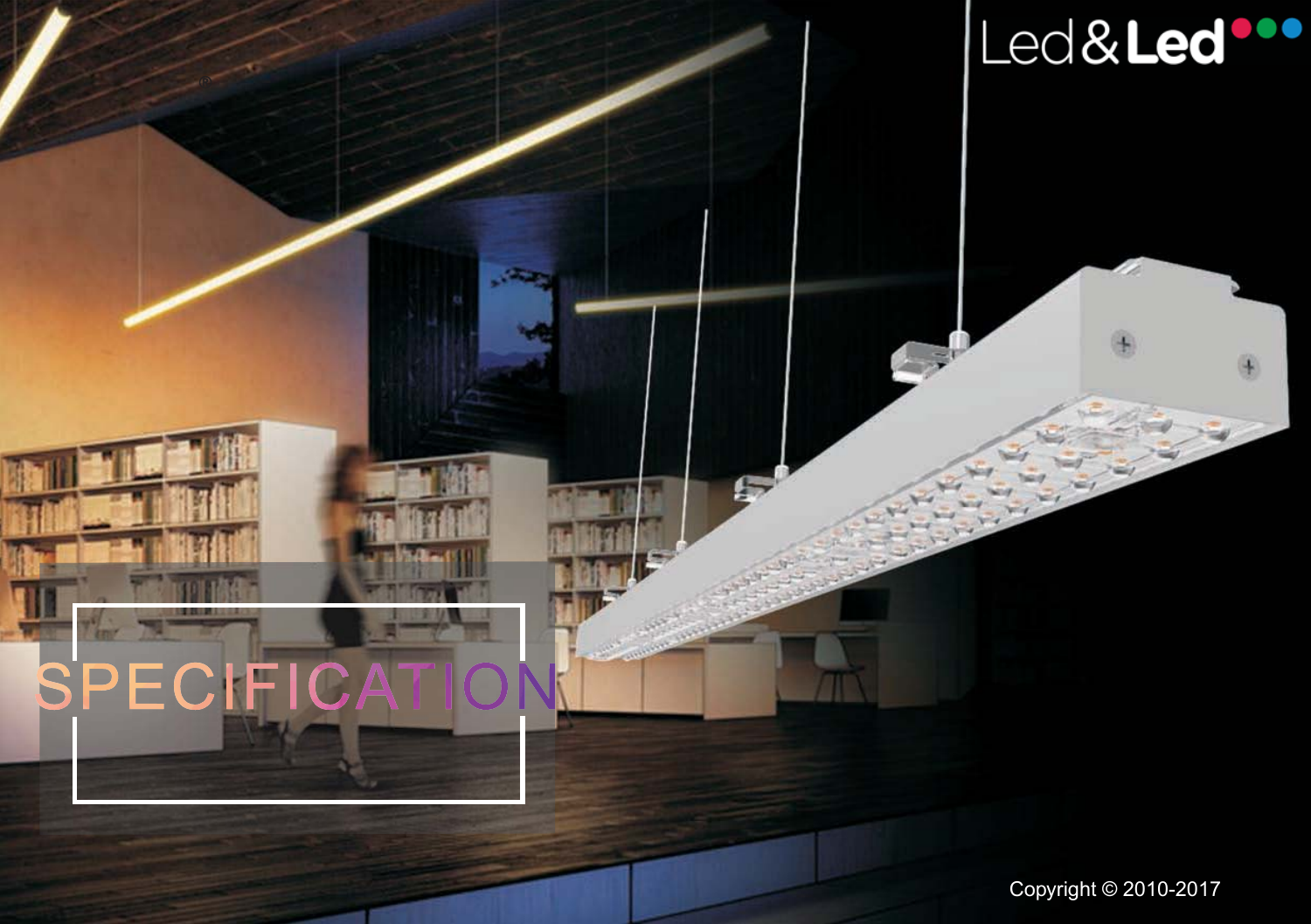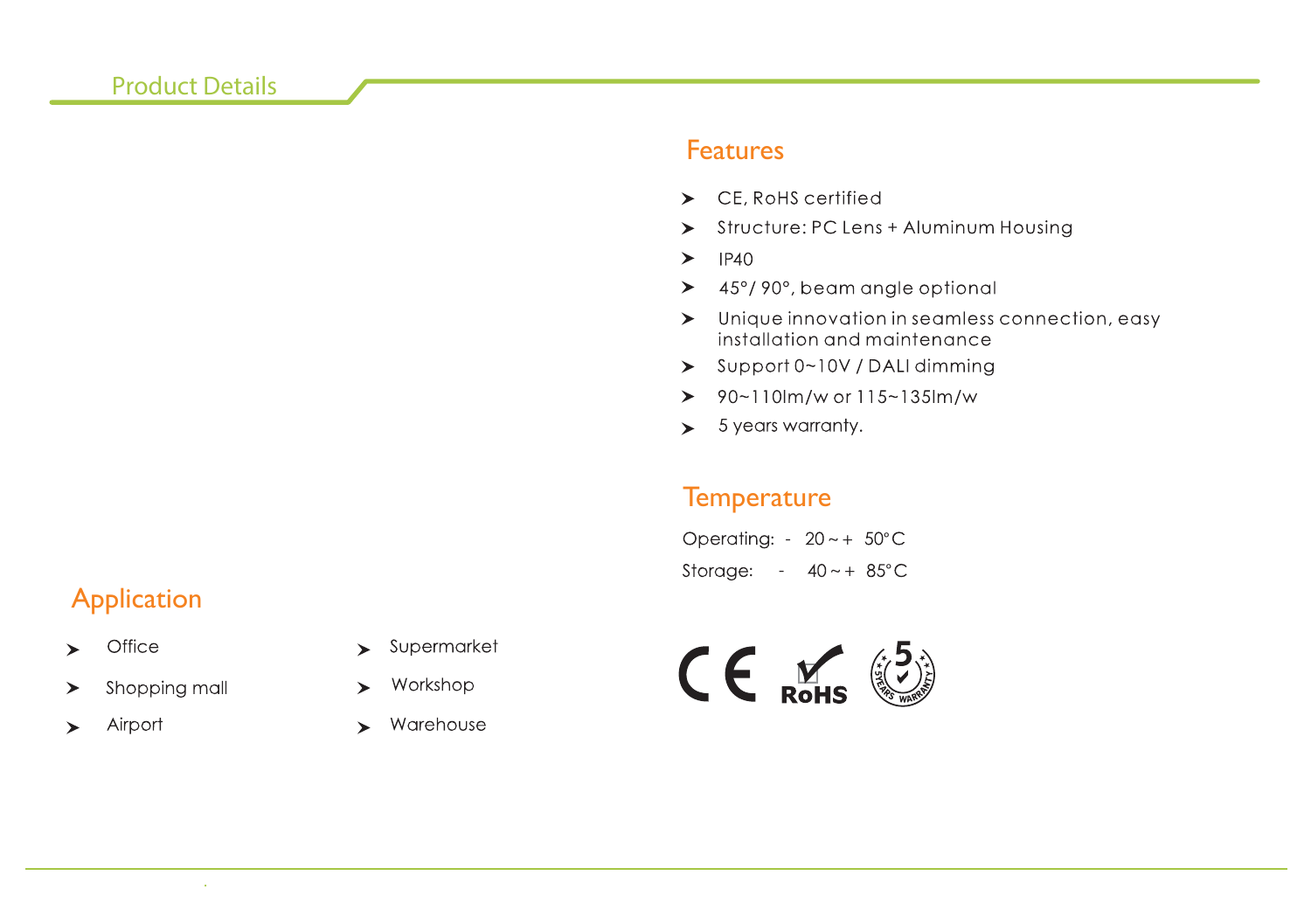#### **Product Details**

#### Features

- $\blacktriangleright$  CE. RoHS certified
- > Structure: PC Lens + Aluminum Housing
- **IP40**  $\blacktriangleright$
- $\geq$  45°/90°, beam angle optional
- $\triangleright$  Unique innovation in seamless connection, easy installation and maintenance
- $\geq$  Support 0~10V / DALI dimming
- $\geq 90 110$ lm/w or 115~135lm/w
- $\leftarrow$  5 years warranty.

## **Temperature**

ww.shinelongled.com Copyright © 2010 - 2010 - 2010 - 2010 - 2010 - 2010 - 2015 - 2016 - 2016 - 2016 - 2016 - 20

Operating:  $-20 \sim +50^{\circ}$ C Storage:  $-40 \sim +85^{\circ}$ C

# Application

- Office  $\blacktriangleright$
- Shopping mall ➤
- Airport  $\blacktriangleright$
- Supermarket  $\blacktriangleright$
- Workshop ➤
- $\blacktriangleright$  Warehouse

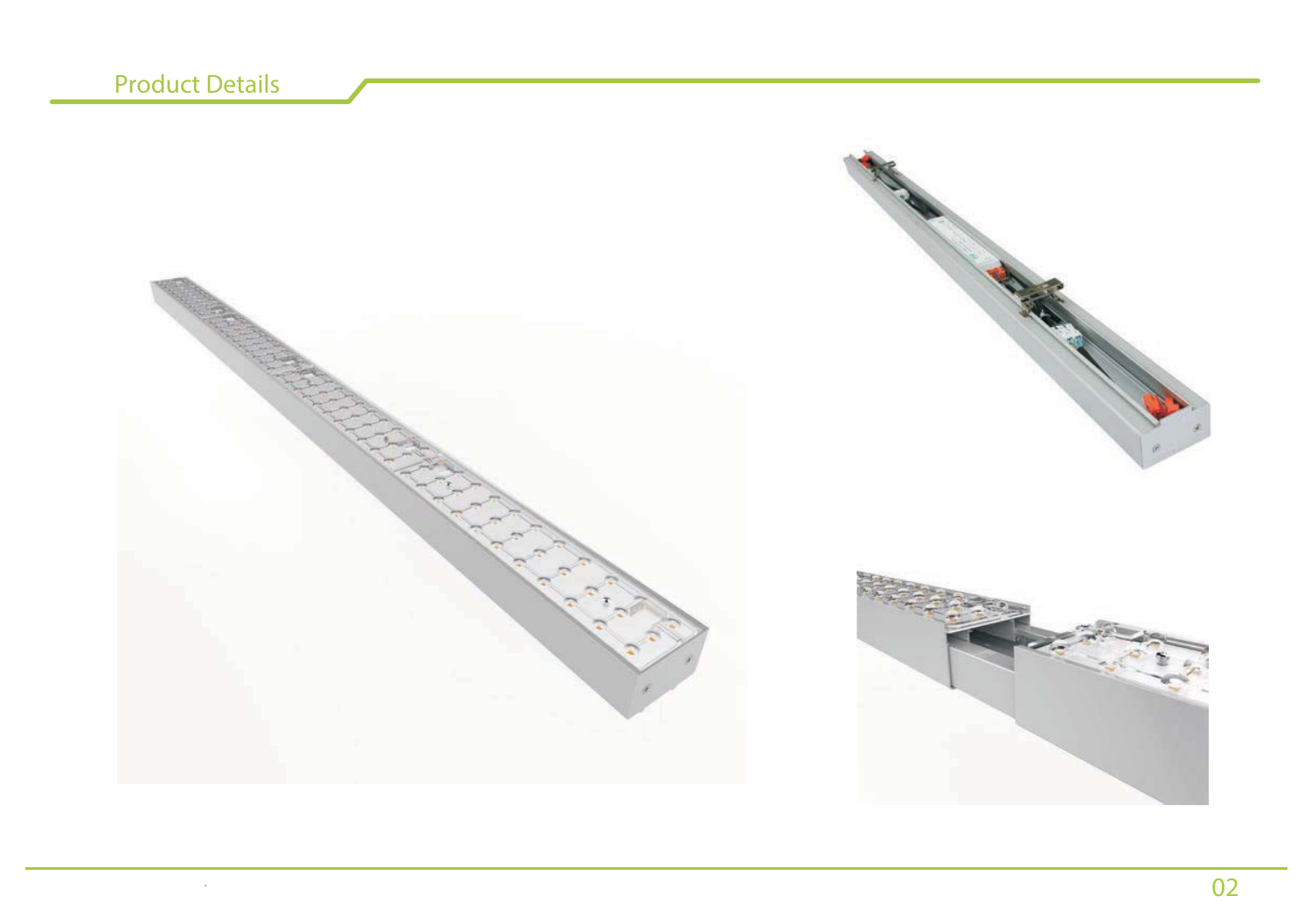.

www.shinelongled.com .shinelongled.com

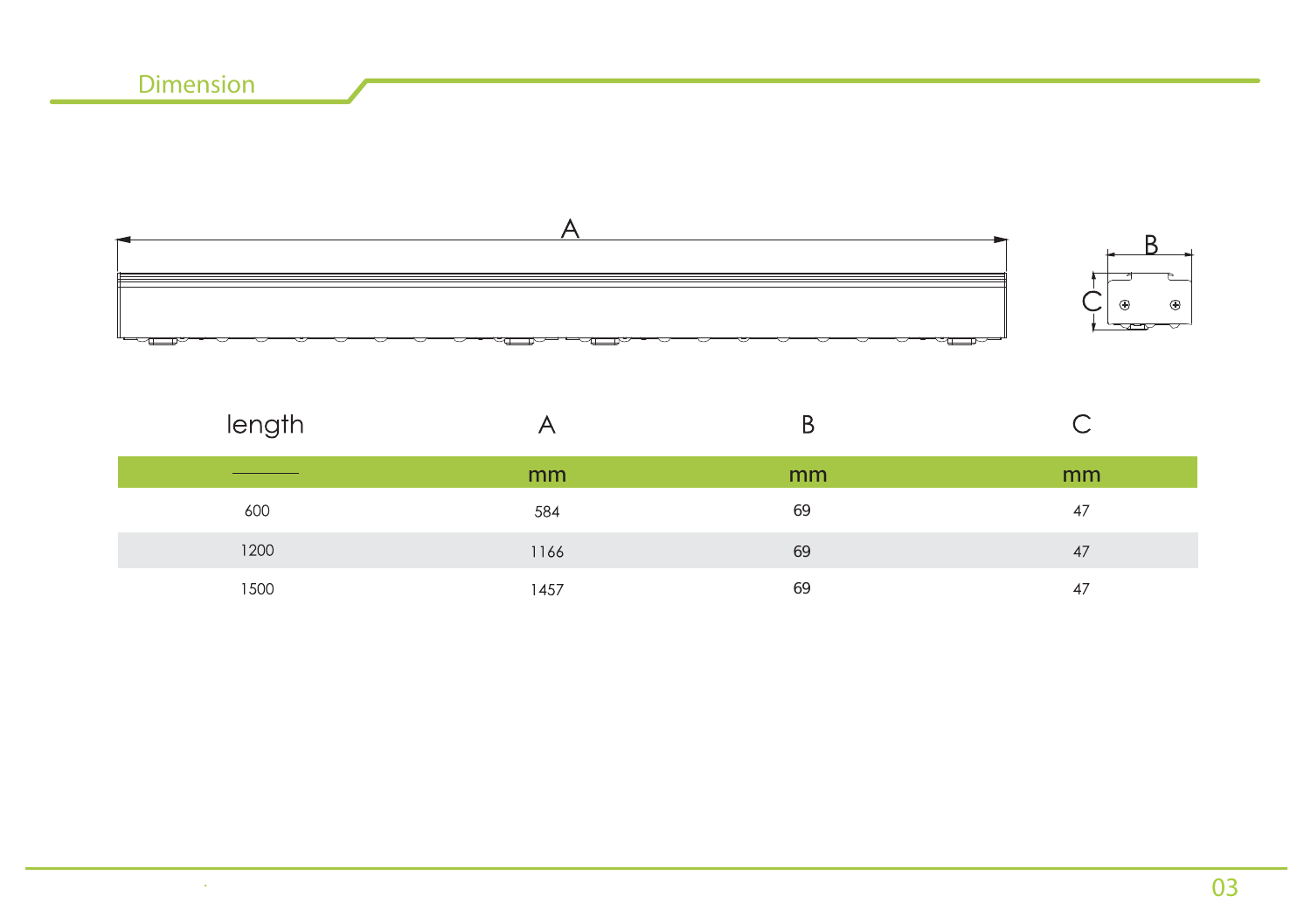$\sim 100$ 

| length |      | Β  | ٮ  |
|--------|------|----|----|
|        | mm   | mm | mm |
| 600    | 584  | 69 | 47 |
| 1200   | 1166 | 69 | 47 |
| 1500   | 1457 | 69 | 47 |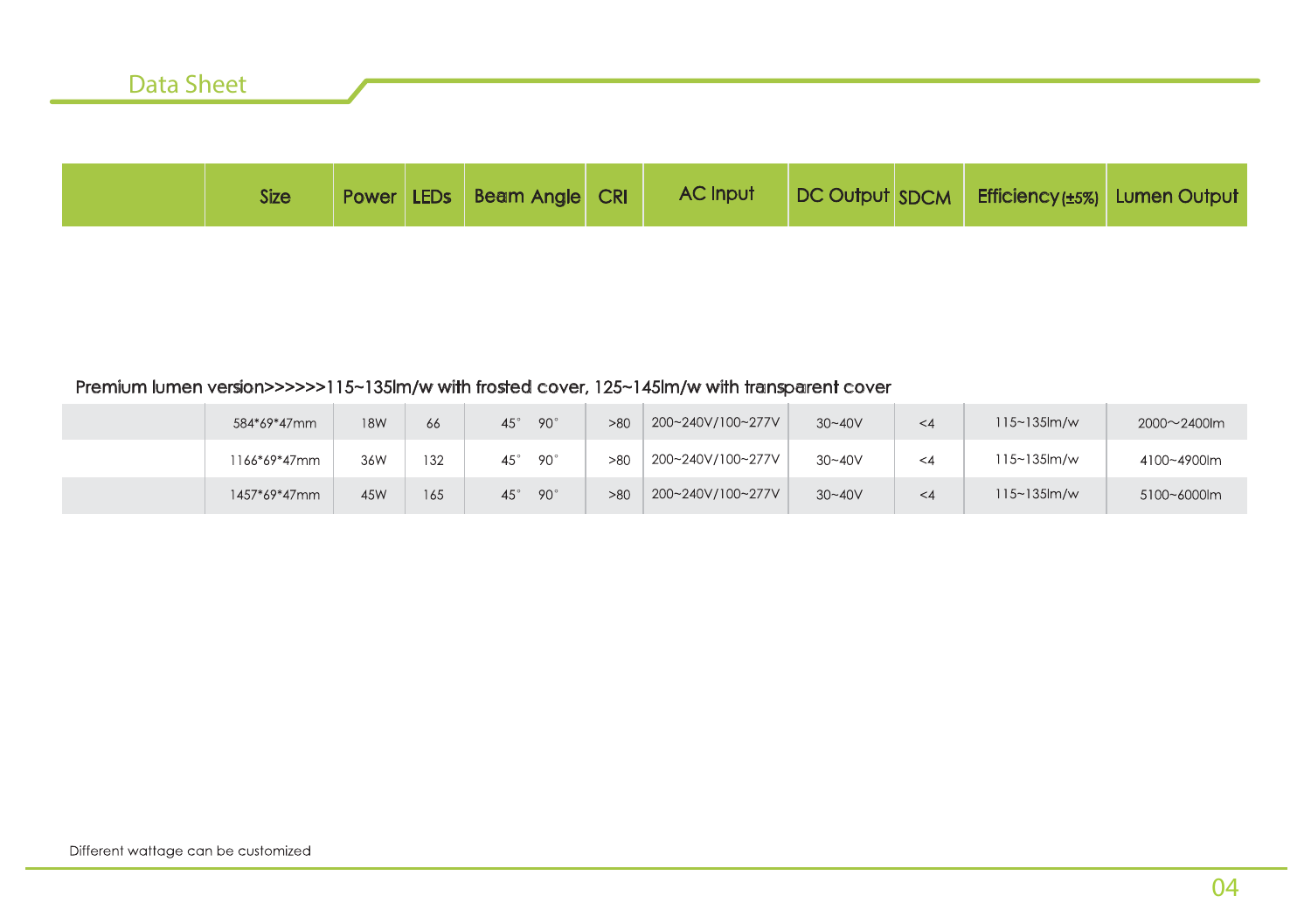|  | Data Snee |  |  |  |
|--|-----------|--|--|--|
|  |           |  |  |  |
|  |           |  |  |  |

| <b>Size</b> | <b>Power LEDs</b> | <b>Beam Angle CRI</b> | <b>AC Input</b> | DC Output SDCM | Efficiency(±5%) Lumen Output |  |
|-------------|-------------------|-----------------------|-----------------|----------------|------------------------------|--|
|             |                   |                       |                 |                |                              |  |

#### Premium lumen version>>>>>>115~135lm/w with frosted cover, 125~145lm/w with transparent cover

| 584*69*47mm  | <b>18W</b> | 66  | $90^\circ$<br>$45^\circ$ | >80 | 200~240V/100~277V | $30 - 40V$ | $\leq 4$ | $115 - 135$ m/w  | $2000 - 2400$ lm |
|--------------|------------|-----|--------------------------|-----|-------------------|------------|----------|------------------|------------------|
| 1166*69*47mm | 36W        | 132 | $90^\circ$<br>$45^\circ$ | >80 | 200~240V/100~277V | $30 - 40V$ | $\leq 4$ | $115 - 135$ km/w | 4100~4900lm      |
| 1457*69*47mm | 45W        | 165 | $90^\circ$<br>$45^\circ$ | >80 | 200~240V/100~277V | $30 - 40V$ | $\leq 4$ | $115 - 135$ m/w  | 5100~6000lm      |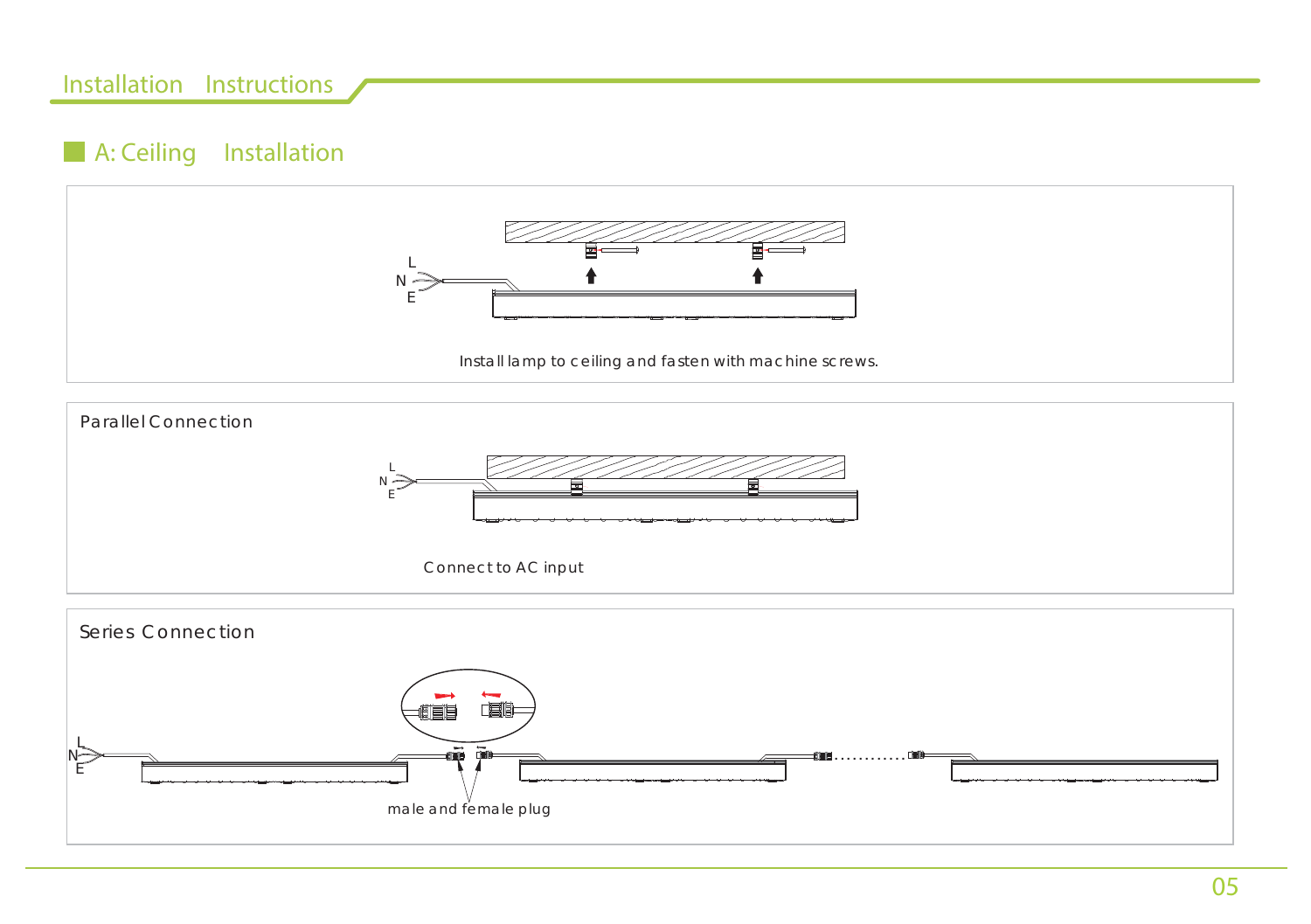## **Installation Instructions**

# **A: Ceiling Installation**





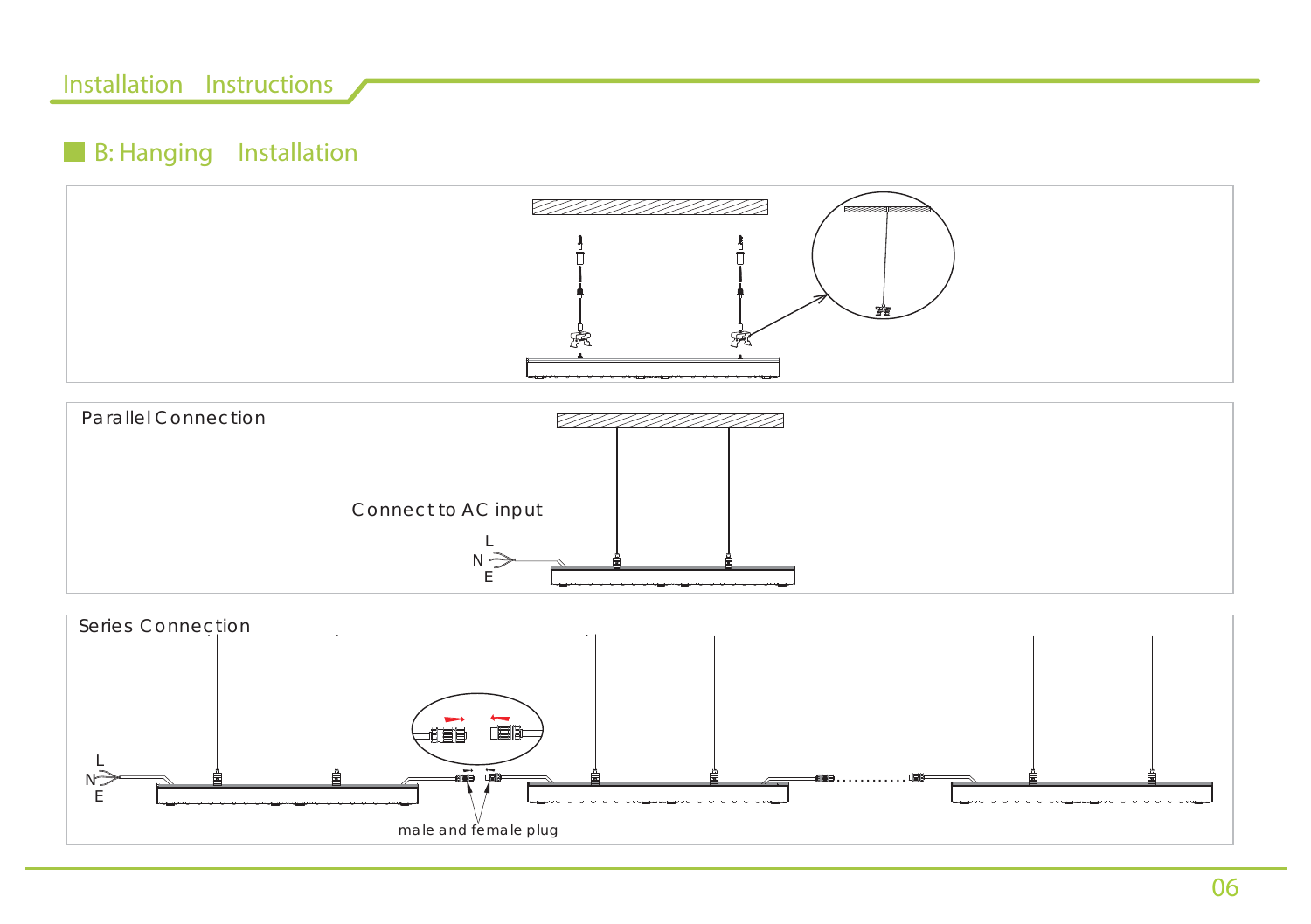## **Installation Instructions**

# **B: Hanging Installation**





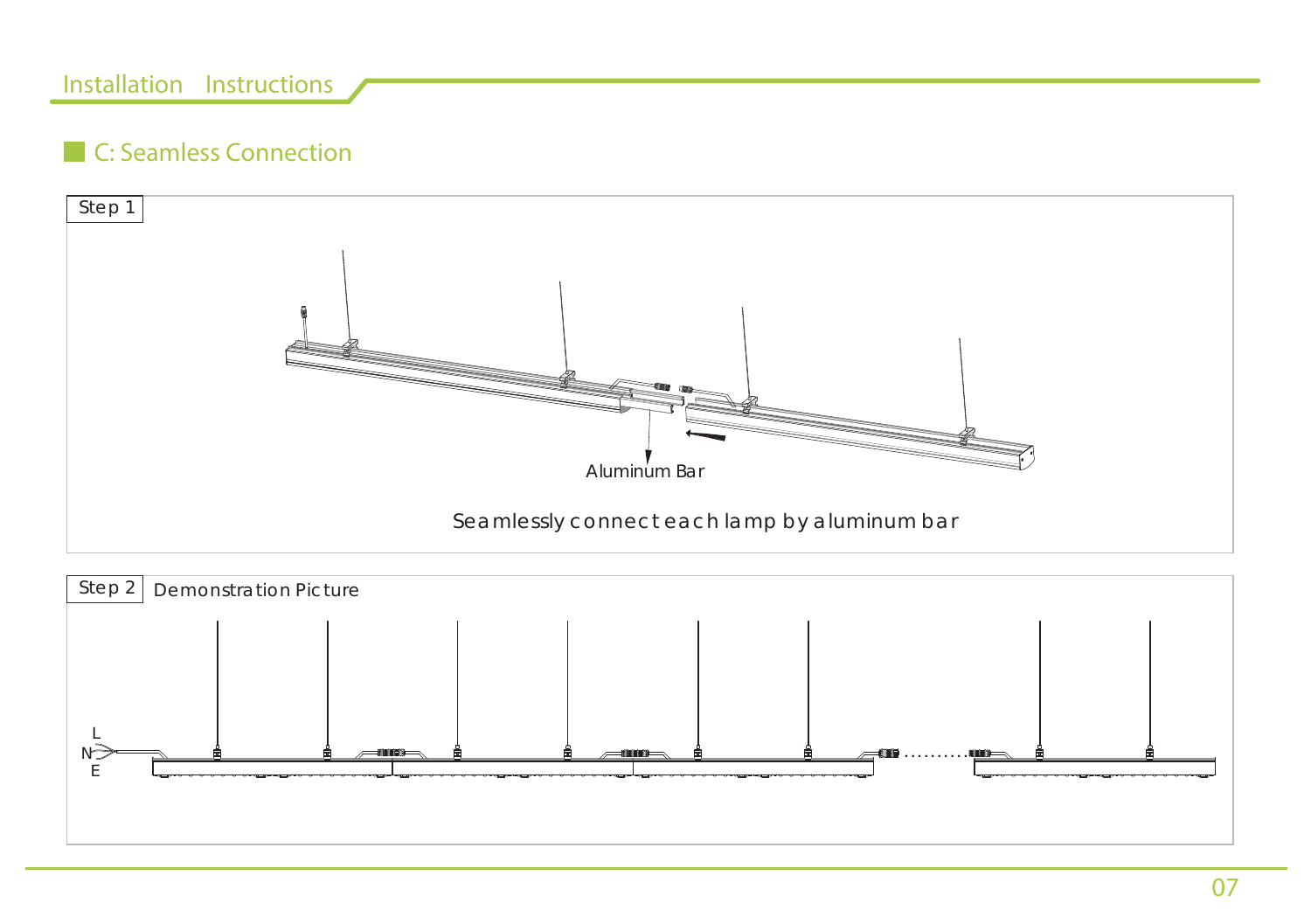# **Installation Instructions**

# **C: Seamless Connection**